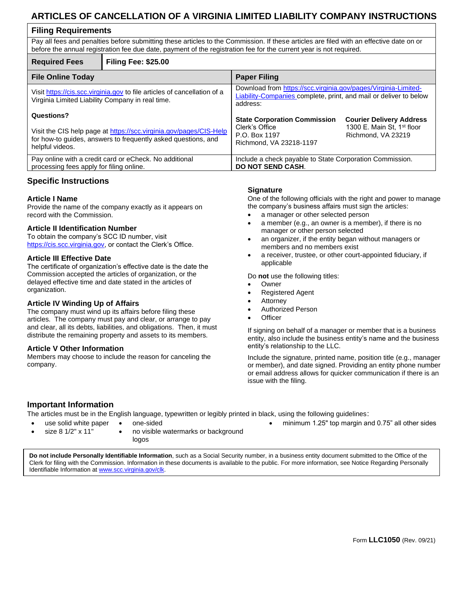## **ARTICLES OF CANCELLATION OF A VIRGINIA LIMITED LIABILITY COMPANY INSTRUCTIONS**

## **Filing Requirements**

Pay all fees and penalties before submitting these articles to the Commission. If these articles are filed with an effective date on or before the annual registration fee due date, payment of the registration fee for the current year is not required.

| <b>Required Fees</b>                                                                                                                                   | <b>Filing Fee: \$25.00</b> |                                                                                                                                                 |                                 |
|--------------------------------------------------------------------------------------------------------------------------------------------------------|----------------------------|-------------------------------------------------------------------------------------------------------------------------------------------------|---------------------------------|
| <b>File Online Today</b>                                                                                                                               |                            | <b>Paper Filing</b>                                                                                                                             |                                 |
| Visit https://cis.scc.virginia.gov to file articles of cancellation of a<br>Virginia Limited Liability Company in real time.                           |                            | Download from https://scc.virginia.gov/pages/Virginia-Limited-<br>Liability-Companies complete, print, and mail or deliver to below<br>address: |                                 |
| Questions?                                                                                                                                             |                            | <b>State Corporation Commission</b>                                                                                                             | <b>Courier Delivery Address</b> |
| Visit the CIS help page at https://scc.virginia.gov/pages/CIS-Help<br>for how-to guides, answers to frequently asked questions, and<br>helpful videos. |                            | 1300 E. Main St, 1 <sup>st</sup> floor<br>Clerk's Office<br>Richmond, VA 23219<br>P.O. Box 1197<br>Richmond, VA 23218-1197                      |                                 |
| Pay online with a credit card or eCheck. No additional<br>processing fees apply for filing online.                                                     |                            | Include a check payable to State Corporation Commission.<br><b>DO NOT SEND CASH.</b>                                                            |                                 |

## **Specific Instructions**

#### **Article I Name**

Provide the name of the company exactly as it appears on record with the Commission.

#### **Article II Identification Number**

To obtain the company's SCC ID number, visit [https://cis.scc.virginia.gov,](https://cis.scc.virginia.gov/) or contact the Clerk's Office.

#### **Article III Effective Date**

The certificate of organization's effective date is the date the Commission accepted the articles of organization, or the delayed effective time and date stated in the articles of organization.

#### **Article IV Winding Up of Affairs**

The company must wind up its affairs before filing these articles. The company must pay and clear, or arrange to pay and clear, all its debts, liabilities, and obligations. Then, it must distribute the remaining property and assets to its members.

#### **Article V Other Information**

Members may choose to include the reason for canceling the company.

#### **Signature**

One of the following officials with the right and power to manage the company's business affairs must sign the articles:

- a manager or other selected person
- a member (e.g., an owner is a member), if there is no manager or other person selected
- an organizer, if the entity began without managers or members and no members exist
- a receiver, trustee, or other court-appointed fiduciary, if applicable

Do **not** use the following titles:

- **Owner**
- Registered Agent
- **Attorney**
- Authorized Person
- **Officer**

If signing on behalf of a manager or member that is a business entity, also include the business entity's name and the business entity's relationship to the LLC.

Include the signature, printed name, position title (e.g., manager or member), and date signed. Providing an entity phone number or email address allows for quicker communication if there is an issue with the filing.

### **Important Information**

• size 8 1/2" x 11"

The articles must be in the English language, typewritten or legibly printed in black, using the following guidelines:

- use solid white paper • one-sided
	- no visible watermarks or background logos
- minimum 1.25" top margin and 0.75" all other sides

**Do not include Personally Identifiable Information**, such as a Social Security number, in a business entity document submitted to the Office of the Clerk for filing with the Commission. Information in these documents is available to the public. For more information, see Notice Regarding Personally Identifiable Information at [www.scc.virginia.gov/clk.](http://www.scc.virginia.gov/clk)